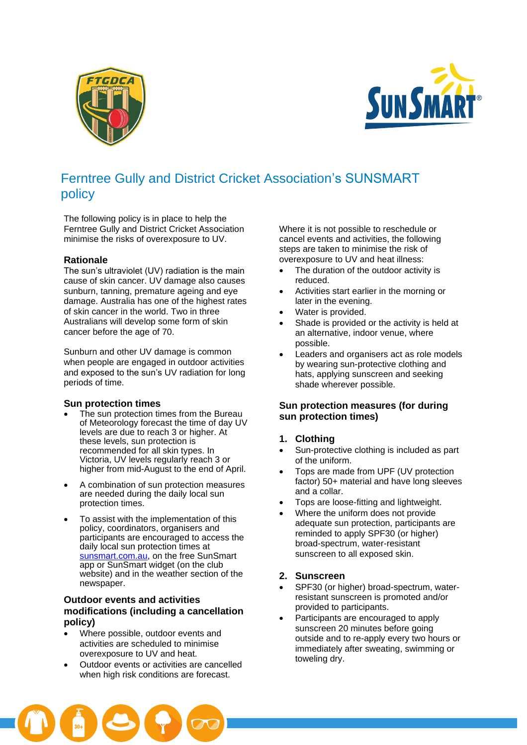



# Ferntree Gully and District Cricket Association's SUNSMART policy

The following policy is in place to help the Ferntree Gully and District Cricket Association minimise the risks of overexposure to UV.

### **Rationale**

The sun's ultraviolet (UV) radiation is the main cause of skin cancer. UV damage also causes sunburn, tanning, premature ageing and eye damage. Australia has one of the highest rates of skin cancer in the world. Two in three Australians will develop some form of skin cancer before the age of 70.

Sunburn and other UV damage is common when people are engaged in outdoor activities and exposed to the sun's UV radiation for long periods of time.

### **Sun protection times**

- The sun protection times from the Bureau of Meteorology forecast the time of day UV levels are due to reach 3 or higher. At these levels, sun protection is recommended for all skin types. In Victoria, UV levels regularly reach 3 or higher from mid-August to the end of April.
- A combination of sun protection measures are needed during the daily local sun protection times.
- To assist with the implementation of this policy, coordinators, organisers and participants are encouraged to access the daily local sun protection times at sunsmart.com.au, on the free SunSmart app or SunSmart widget (on the club website) and in the weather section of the newspaper.

## **Outdoor events and activities modifications (including a cancellation policy)**

- Where possible, outdoor events and activities are scheduled to minimise overexposure to UV and heat.
- Outdoor events or activities are cancelled when high risk conditions are forecast.

Where it is not possible to reschedule or cancel events and activities, the following steps are taken to minimise the risk of overexposure to UV and heat illness:

- The duration of the outdoor activity is reduced.
- Activities start earlier in the morning or later in the evening.
- Water is provided.
- Shade is provided or the activity is held at an alternative, indoor venue, where possible.
- Leaders and organisers act as role models by wearing sun-protective clothing and hats, applying sunscreen and seeking shade wherever possible.

## **Sun protection measures (for during sun protection times)**

## **1. Clothing**

- Sun-protective clothing is included as part of the uniform.
- Tops are made from UPF (UV protection factor) 50+ material and have long sleeves and a collar.
- Tops are loose-fitting and lightweight.
- Where the uniform does not provide adequate sun protection, participants are reminded to apply SPF30 (or higher) broad-spectrum, water-resistant sunscreen to all exposed skin.

## **2. Sunscreen**

- SPF30 (or higher) broad-spectrum, waterresistant sunscreen is promoted and/or provided to participants.
- Participants are encouraged to apply sunscreen 20 minutes before going outside and to re-apply every two hours or immediately after sweating, swimming or toweling dry.